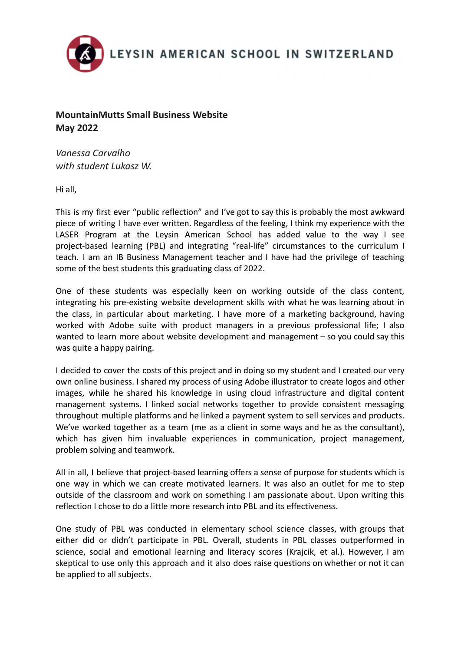

## **MountainMutts Small Business Website May 2022**

*Vanessa Carvalho with student Lukasz W.*

Hi all,

This is my first ever "public reflection" and I've got to say this is probably the most awkward piece of writing I have ever written. Regardless of the feeling, I think my experience with the LASER Program at the Leysin American School has added value to the way I see project-based learning (PBL) and integrating "real-life" circumstances to the curriculum I teach. I am an IB Business Management teacher and I have had the privilege of teaching some of the best students this graduating class of 2022.

One of these students was especially keen on working outside of the class content, integrating his pre-existing website development skills with what he was learning about in the class, in particular about marketing. I have more of a marketing background, having worked with Adobe suite with product managers in a previous professional life; I also wanted to learn more about website development and management – so you could say this was quite a happy pairing.

I decided to cover the costs of this project and in doing so my student and I created our very own online business. I shared my process of using Adobe illustrator to create logos and other images, while he shared his knowledge in using cloud infrastructure and digital content management systems. I linked social networks together to provide consistent messaging throughout multiple platforms and he linked a payment system to sell services and products. We've worked together as a team (me as a client in some ways and he as the consultant), which has given him invaluable experiences in communication, project management, problem solving and teamwork.

All in all, I believe that project-based learning offers a sense of purpose for students which is one way in which we can create motivated learners. It was also an outlet for me to step outside of the classroom and work on something I am passionate about. Upon writing this reflection I chose to do a little more research into PBL and its effectiveness.

One study of PBL was conducted in elementary school science classes, with groups that either did or didn't participate in PBL. Overall, students in PBL classes outperformed in science, social and emotional learning and literacy scores (Krajcik, et al.). However, I am skeptical to use only this approach and it also does raise questions on whether or not it can be applied to all subjects.